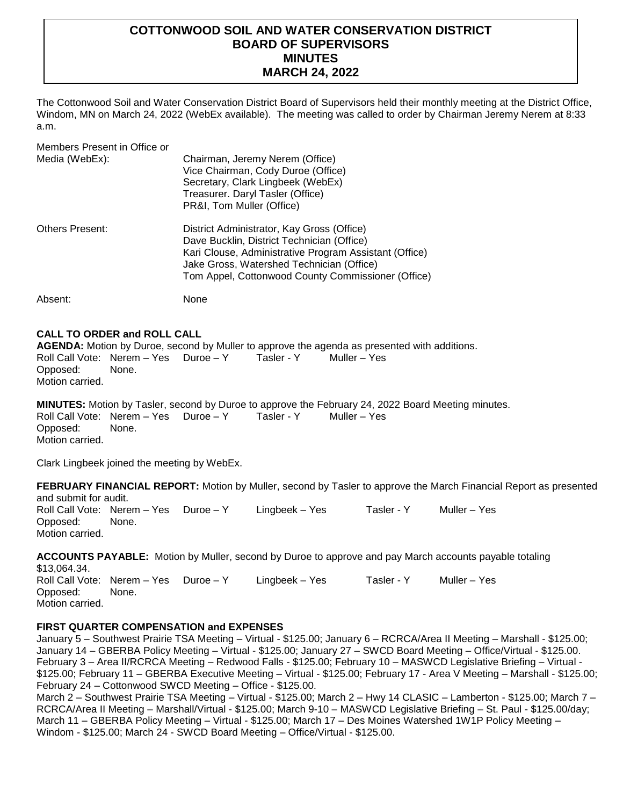# **COTTONWOOD SOIL AND WATER CONSERVATION DISTRICT BOARD OF SUPERVISORS MINUTES MARCH 24, 2022**

The Cottonwood Soil and Water Conservation District Board of Supervisors held their monthly meeting at the District Office, Windom, MN on March 24, 2022 (WebEx available). The meeting was called to order by Chairman Jeremy Nerem at 8:33 a.m.

Members Present in Office or Media (WebEx): Chairman, Jeremy Nerem (Office) Vice Chairman, Cody Duroe (Office) Secretary, Clark Lingbeek (WebEx) Treasurer. Daryl Tasler (Office) PR&I, Tom Muller (Office) Others Present: District Administrator, Kay Gross (Office) Dave Bucklin, District Technician (Office) Kari Clouse, Administrative Program Assistant (Office) Jake Gross, Watershed Technician (Office) Tom Appel, Cottonwood County Commissioner (Office) Absent: None

## **CALL TO ORDER and ROLL CALL**

**AGENDA:** Motion by Duroe, second by Muller to approve the agenda as presented with additions. Roll Call Vote: Nerem - Yes Duroe - Y Tasler - Y Muller - Yes Opposed: None. Motion carried.

**MINUTES:** Motion by Tasler, second by Duroe to approve the February 24, 2022 Board Meeting minutes. Roll Call Vote: Nerem – Yes Duroe – Y Tasler - Y Muller – Yes Opposed: None. Motion carried.

Clark Lingbeek joined the meeting by WebEx.

**FEBRUARY FINANCIAL REPORT:** Motion by Muller, second by Tasler to approve the March Financial Report as presented and submit for audit.

Roll Call Vote: Nerem – Yes Duroe – Y Lingbeek – Yes Tasler - Y Muller – Yes Opposed: None. Motion carried.

**ACCOUNTS PAYABLE:** Motion by Muller, second by Duroe to approve and pay March accounts payable totaling \$13,064.34. Roll Call Vote: Nerem – Yes Duroe – Y Lingbeek – Yes Tasler - Y Muller – Yes Opposed: None. Motion carried.

# **FIRST QUARTER COMPENSATION and EXPENSES**

January 5 – Southwest Prairie TSA Meeting – Virtual - \$125.00; January 6 – RCRCA/Area II Meeting – Marshall - \$125.00; January 14 – GBERBA Policy Meeting – Virtual - \$125.00; January 27 – SWCD Board Meeting – Office/Virtual - \$125.00. February 3 – Area II/RCRCA Meeting – Redwood Falls - \$125.00; February 10 – MASWCD Legislative Briefing – Virtual - \$125.00; February 11 – GBERBA Executive Meeting – Virtual - \$125.00; February 17 - Area V Meeting – Marshall - \$125.00; February 24 – Cottonwood SWCD Meeting – Office - \$125.00.

March 2 – Southwest Prairie TSA Meeting – Virtual - \$125.00; March 2 – Hwy 14 CLASIC – Lamberton - \$125.00; March 7 – RCRCA/Area II Meeting – Marshall/Virtual - \$125.00; March 9-10 – MASWCD Legislative Briefing – St. Paul - \$125.00/day; March 11 – GBERBA Policy Meeting – Virtual - \$125.00; March 17 – Des Moines Watershed 1W1P Policy Meeting – Windom - \$125.00; March 24 - SWCD Board Meeting – Office/Virtual - \$125.00.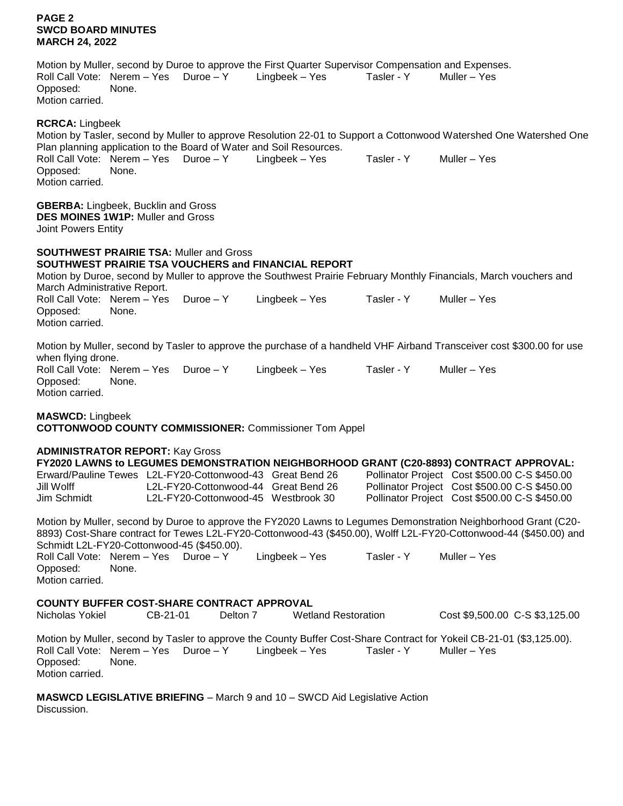# **PAGE 2 SWCD BOARD MINUTES MARCH 24, 2022**

Motion by Muller, second by Duroe to approve the First Quarter Supervisor Compensation and Expenses. Roll Call Vote: Nerem – Yes Duroe – Y Lingbeek – Yes Tasler - Y Muller – Yes Opposed: None. Motion carried.

#### **RCRCA:** Lingbeek

Motion by Tasler, second by Muller to approve Resolution 22-01 to Support a Cottonwood Watershed One Watershed One Plan planning application to the Board of Water and Soil Resources. Roll Call Vote: Nerem – Yes Duroe – Y Lingbeek – Yes Tasler - Y Muller – Yes Opposed: None. Motion carried.

**GBERBA:** Lingbeek, Bucklin and Gross **DES MOINES 1W1P:** Muller and Gross Joint Powers Entity

# **SOUTHWEST PRAIRIE TSA:** Muller and Gross

# **SOUTHWEST PRAIRIE TSA VOUCHERS and FINANCIAL REPORT**

Motion by Duroe, second by Muller to approve the Southwest Prairie February Monthly Financials, March vouchers and March Administrative Report. Roll Call Vote: Nerem – Yes Duroe – Y Lingbeek – Yes Tasler - Y Muller – Yes Opposed: None. Motion carried.

Motion by Muller, second by Tasler to approve the purchase of a handheld VHF Airband Transceiver cost \$300.00 for use when flying drone. Roll Call Vote: Nerem – Yes Duroe – Y Lingbeek – Yes Tasler - Y Muller – Yes Opposed: None. Motion carried.

# **MASWCD:** Lingbeek

**COTTONWOOD COUNTY COMMISSIONER:** Commissioner Tom Appel

#### **ADMINISTRATOR REPORT:** Kay Gross

|             |                                                           |  | FY2020 LAWNS to LEGUMES DEMONSTRATION NEIGHBORHOOD GRANT (C20-8893) CONTRACT APPROVAL: |
|-------------|-----------------------------------------------------------|--|----------------------------------------------------------------------------------------|
|             | Erward/Pauline Tewes L2L-FY20-Cottonwood-43 Great Bend 26 |  | Pollinator Project Cost \$500.00 C-S \$450.00                                          |
| Jill Wolff  | L2L-FY20-Cottonwood-44 Great Bend 26                      |  | Pollinator Project Cost \$500.00 C-S \$450.00                                          |
| Jim Schmidt | L2L-FY20-Cottonwood-45 Westbrook 30                       |  | Pollinator Project Cost \$500.00 C-S \$450.00                                          |

Motion by Muller, second by Duroe to approve the FY2020 Lawns to Legumes Demonstration Neighborhood Grant (C20- 8893) Cost-Share contract for Tewes L2L-FY20-Cottonwood-43 (\$450.00), Wolff L2L-FY20-Cottonwood-44 (\$450.00) and Schmidt L2L-FY20-Cottonwood-45 (\$450.00).

Roll Call Vote: Nerem – Yes Duroe – Y Lingbeek – Yes Tasler - Y Muller – Yes Opposed: None. Motion carried.

### **COUNTY BUFFER COST-SHARE CONTRACT APPROVAL**

| Nicholas Yokiel | CB-21-01 | Delton 7 | <b>Wetland Restoration</b> | Cost \$9,500.00 C-S \$3,125.00                                                                                          |
|-----------------|----------|----------|----------------------------|-------------------------------------------------------------------------------------------------------------------------|
|                 |          |          |                            | Mating by Mulley, essent by Technite enorme the County Duffer Cent Chara Contrast for Velcell CD, 04, 04, (CO, 405, 00) |

Motion by Muller, second by Tasler to approve the County Buffer Cost-Share Contract for Yokeil CB-21-01 (\$3,125.00). Roll Call Vote: Nerem – Yes Duroe – Y Lingbeek – Yes Tasler - Y Muller – Yes Opposed: None. Motion carried.

**MASWCD LEGISLATIVE BRIEFING** – March 9 and 10 – SWCD Aid Legislative Action Discussion.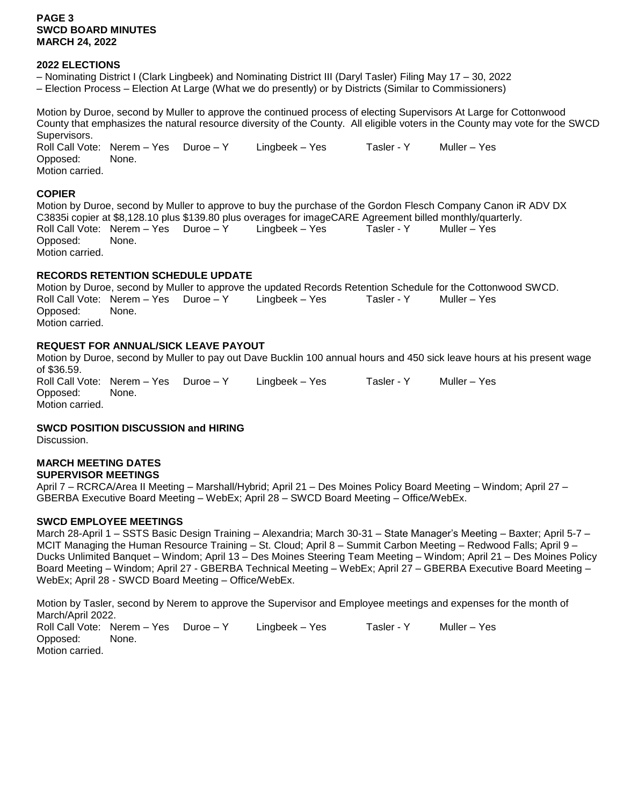## **PAGE 3 SWCD BOARD MINUTES MARCH 24, 2022**

### **2022 ELECTIONS**

- Nominating District I (Clark Lingbeek) and Nominating District III (Daryl Tasler) Filing May 17 30, 2022
- Election Process Election At Large (What we do presently) or by Districts (Similar to Commissioners)

Motion by Duroe, second by Muller to approve the continued process of electing Supervisors At Large for Cottonwood County that emphasizes the natural resource diversity of the County. All eligible voters in the County may vote for the SWCD Supervisors. Roll Call Vote: Nerem – Yes Duroe – Y Lingbeek – Yes Tasler - Y Muller – Yes

Opposed: None. Motion carried.

#### **COPIER**

Motion by Duroe, second by Muller to approve to buy the purchase of the Gordon Flesch Company Canon iR ADV DX C3835i copier at \$8,128.10 plus \$139.80 plus overages for imageCARE Agreement billed monthly/quarterly. Roll Call Vote: Nerem – Yes Duroe – Y Lingbeek – Yes Tasler - Y Muller – Yes Copposed: Opposed: Motion carried.

## **RECORDS RETENTION SCHEDULE UPDATE**

Motion by Duroe, second by Muller to approve the updated Records Retention Schedule for the Cottonwood SWCD. Roll Call Vote: Nerem – Yes Duroe – Y Lingbeek – Yes Tasler - Y Muller – Yes Opposed: None. Motion carried.

# **REQUEST FOR ANNUAL/SICK LEAVE PAYOUT**

Motion by Duroe, second by Muller to pay out Dave Bucklin 100 annual hours and 450 sick leave hours at his present wage of \$36.59. Roll Call Vote: Nerem – Yes Duroe – Y Lingbeek – Yes Tasler - Y Muller – Yes Opposed: None. Motion carried.

#### **SWCD POSITION DISCUSSION and HIRING**

Discussion.

# **MARCH MEETING DATES**

#### **SUPERVISOR MEETINGS**

April 7 – RCRCA/Area II Meeting – Marshall/Hybrid; April 21 – Des Moines Policy Board Meeting – Windom; April 27 – GBERBA Executive Board Meeting – WebEx; April 28 – SWCD Board Meeting – Office/WebEx.

#### **SWCD EMPLOYEE MEETINGS**

March 28-April 1 – SSTS Basic Design Training – Alexandria; March 30-31 – State Manager's Meeting – Baxter; April 5-7 – MCIT Managing the Human Resource Training – St. Cloud; April 8 – Summit Carbon Meeting – Redwood Falls; April 9 – Ducks Unlimited Banquet – Windom; April 13 – Des Moines Steering Team Meeting – Windom; April 21 – Des Moines Policy Board Meeting – Windom; April 27 - GBERBA Technical Meeting – WebEx; April 27 – GBERBA Executive Board Meeting – WebEx; April 28 - SWCD Board Meeting – Office/WebEx.

Motion by Tasler, second by Nerem to approve the Supervisor and Employee meetings and expenses for the month of March/April 2022. Roll Call Vote: Nerem – Yes Duroe – Y Lingbeek – Yes Tasler - Y Muller – Yes Opposed: None. Motion carried.